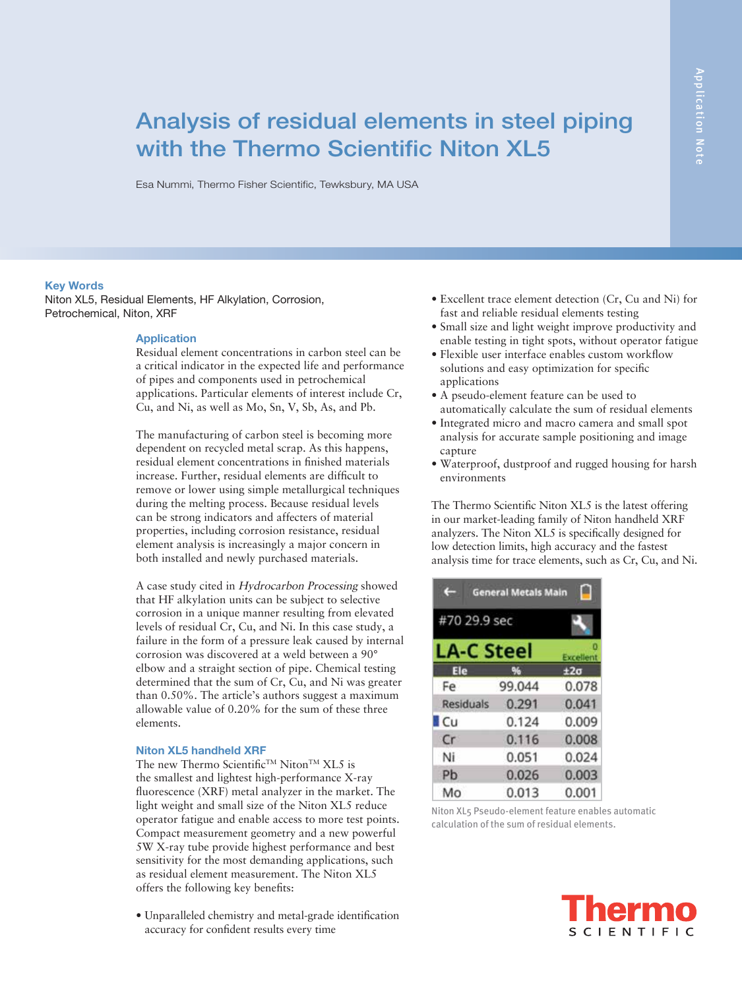# Analysis of residual elements in steel piping with the Thermo Scientific Niton **XL5**

Esa Nummi, Thermo Fisher Scientific, Tewksbury, MA USA

#### **Key Words**

Niton XL5, Residual Elements, HF Alkylation, Corrosion, Petrochemical, Niton, XRF

#### **Application**

Residual element concentrations in carbon steel can be a critical indicator in the expected life and performance of pipes and components used in petrochemical applications. Particular elements of interest include Cr, Cu, and Ni, as well as Mo, Sn, V, Sb, As, and Pb.

The manufacturing of carbon steel is becoming more dependent on recycled metal scrap. As this happens, residual element concentrations in finished materials increase. Further, residual elements are difficult to remove or lower using simple metallurgical techniques during the melting process. Because residual levels can be strong indicators and affecters of material properties, including corrosion resistance, residual element analysis is increasingly a major concern in both installed and newly purchased materials.

A case study cited in Hydrocarbon Processing showed that HF alkylation units can be subject to selective corrosion in a unique manner resulting from elevated levels of residual Cr, Cu, and Ni. In this case study, a failure in the form of a pressure leak caused by internal corrosion was discovered at a weld between a 90° elbow and a straight section of pipe. Chemical testing determined that the sum of Cr, Cu, and Ni was greater than 0.50%. The article's authors suggest a maximum allowable value of 0.20% for the sum of these three elements.

# **Niton XL5 handheld XRF**

The new Thermo Scientific<sup>™</sup> Niton<sup>™</sup> XL5 is the smallest and lightest high-performance X-ray fluorescence (XRF) metal analyzer in the market. The light weight and small size of the Niton XL5 reduce operator fatigue and enable access to more test points. Compact measurement geometry and a new powerful 5W X-ray tube provide highest performance and best sensitivity for the most demanding applications, such as residual element measurement. The Niton XL5 offers the following key benefits:

• Unparalleled chemistry and metal-grade identification accuracy for confident results every time

- Excellent trace element detection (Cr, Cu and Ni) for fast and reliable residual elements testing
- Small size and light weight improve productivity and enable testing in tight spots, without operator fatigue
- Flexible user interface enables custom workflow solutions and easy optimization for specific applications
- A pseudo-element feature can be used to automatically calculate the sum of residual elements
- Integrated micro and macro camera and small spot analysis for accurate sample positioning and image capture
- Waterproof, dustproof and rugged housing for harsh environments

The Thermo Scientific Niton XL5 is the latest offering in our market-leading family of Niton handheld XRF analyzers. The Niton XL5 is specifically designed for low detection limits, high accuracy and the fastest analysis time for trace elements, such as Cr, Cu, and Ni.

| <b>General Metals Main</b> |           |                 |  |  |  |  |
|----------------------------|-----------|-----------------|--|--|--|--|
| #70 29.9 sec               |           |                 |  |  |  |  |
| LA-C Steel                 | Excellent |                 |  |  |  |  |
| Ele                        | 96        | ±2 <sub>σ</sub> |  |  |  |  |
| Fe                         | 99.044    | 0.078           |  |  |  |  |
| <b>Residuals</b>           | 0.291     | 0.041           |  |  |  |  |
| $\Box$ Cu                  | 0.124     | 0.009           |  |  |  |  |
| Cr                         | 0.116     | 0.008           |  |  |  |  |
| Ni                         | 0.051     | 0.024           |  |  |  |  |
| Pb                         | 0.026     | 0.003           |  |  |  |  |
| Mo                         | 0.013     | 0.001           |  |  |  |  |

Niton XL5 Pseudo-element feature enables automatic calculation of the sum of residual elements.